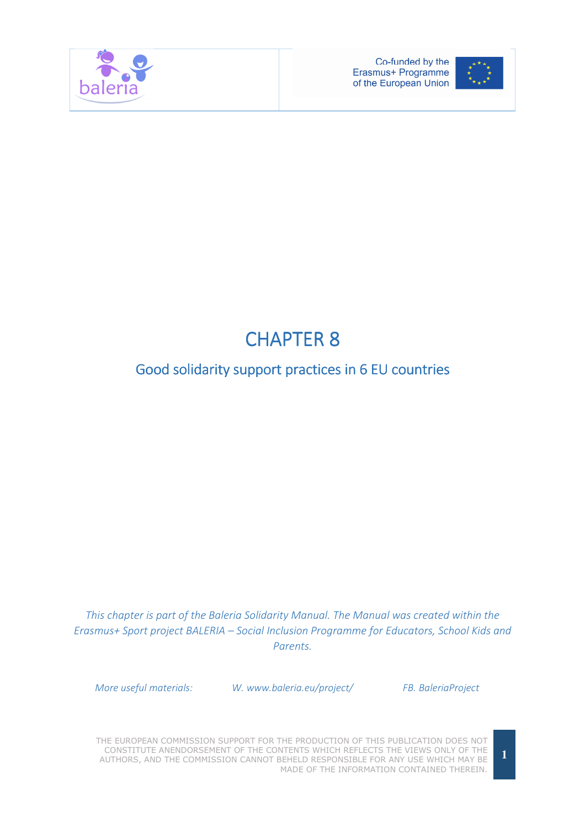



# **CHAPTER 8**

# Good solidarity support practices in 6 EU countries

This chapter is part of the Baleria Solidarity Manual. The Manual was created within the Erasmus+ Sport project BALERIA – Social Inclusion Programme for Educators, School Kids and Parents.

More useful materials: W. www.baleria.eu/project/ FB. BaleriaProject

THE EUROPEAN COMMISSION SUPPORT FOR THE PRODUCTION OF THIS PUBLICATION DOES NOT CONSTITUTE ANENDORSEMENT OF THE CONTENTS WHICH REFLECTS THE VIEWS ONLY OF THE AUTHORS, AND THE COMMISSION CANNOT BEHELD RESPONSIBLE FOR ANY USE WHICH MAY BE MADE OF THE INFORMATION CONTAINED THEREIN.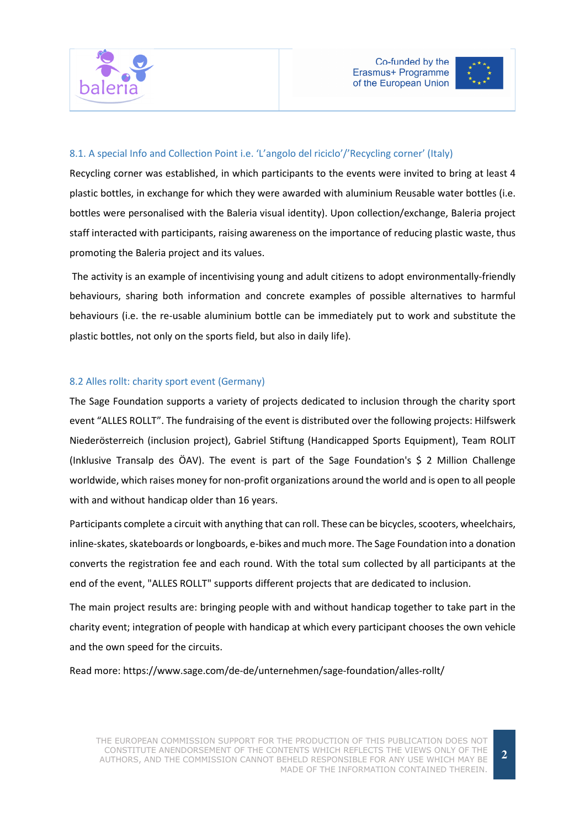

# 8.1. A special Info and Collection Point i.e. 'L'angolo del riciclo'/'Recycling corner' (Italy)

Recycling corner was established, in which participants to the events were invited to bring at least 4 plastic bottles, in exchange for which they were awarded with aluminium Reusable water bottles (i.e. bottles were personalised with the Baleria visual identity). Upon collection/exchange, Baleria project staff interacted with participants, raising awareness on the importance of reducing plastic waste, thus promoting the Baleria project and its values.

 The activity is an example of incentivising young and adult citizens to adopt environmentally-friendly behaviours, sharing both information and concrete examples of possible alternatives to harmful behaviours (i.e. the re-usable aluminium bottle can be immediately put to work and substitute the plastic bottles, not only on the sports field, but also in daily life).

#### 8.2 Alles rollt: charity sport event (Germany)

The Sage Foundation supports a variety of projects dedicated to inclusion through the charity sport event "ALLES ROLLT". The fundraising of the event is distributed over the following projects: Hilfswerk Niederösterreich (inclusion project), Gabriel Stiftung (Handicapped Sports Equipment), Team ROLIT (Inklusive Transalp des ÖAV). The event is part of the Sage Foundation's \$ 2 Million Challenge worldwide, which raises money for non-profit organizations around the world and is open to all people with and without handicap older than 16 years.

Participants complete a circuit with anything that can roll. These can be bicycles, scooters, wheelchairs, inline-skates, skateboards or longboards, e-bikes and much more. The Sage Foundation into a donation converts the registration fee and each round. With the total sum collected by all participants at the end of the event, "ALLES ROLLT" supports different projects that are dedicated to inclusion.

The main project results are: bringing people with and without handicap together to take part in the charity event; integration of people with handicap at which every participant chooses the own vehicle and the own speed for the circuits.

Read more: https://www.sage.com/de-de/unternehmen/sage-foundation/alles-rollt/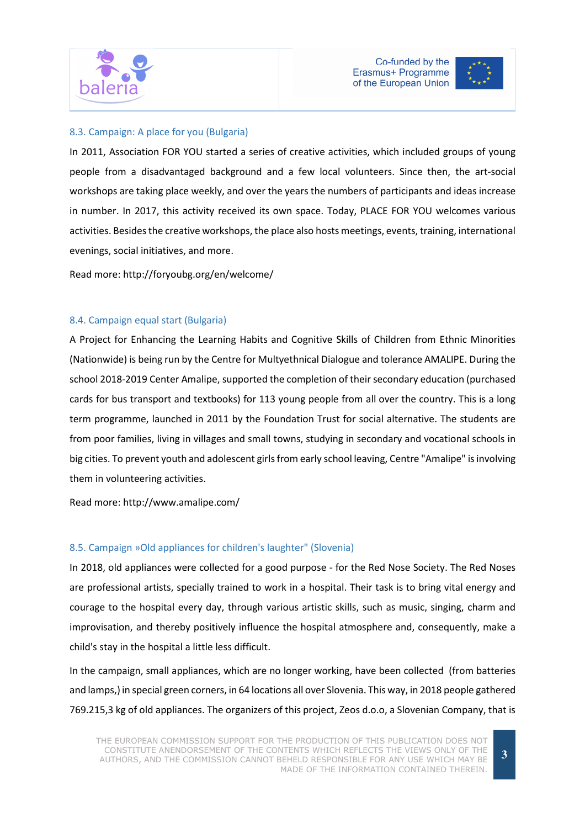



# 8.3. Campaign: A place for you (Bulgaria)

In 2011, Association FOR YOU started a series of creative activities, which included groups of young people from a disadvantaged background and a few local volunteers. Since then, the art-social workshops are taking place weekly, and over the years the numbers of participants and ideas increase in number. In 2017, this activity received its own space. Today, PLACE FOR YOU welcomes various activities. Besides the creative workshops, the place also hosts meetings, events, training, international evenings, social initiatives, and more.

Read more: http://foryoubg.org/en/welcome/

#### 8.4. Campaign equal start (Bulgaria)

A Project for Enhancing the Learning Habits and Cognitive Skills of Children from Ethnic Minorities (Nationwide) is being run by the Centre for Multyethnical Dialogue and tolerance AMALIPE. During the school 2018-2019 Center Amalipe, supported the completion of their secondary education (purchased cards for bus transport and textbooks) for 113 young people from all over the country. This is a long term programme, launched in 2011 by the Foundation Trust for social alternative. The students are from poor families, living in villages and small towns, studying in secondary and vocational schools in big cities. To prevent youth and adolescent girls from early school leaving, Centre "Amalipe" is involving them in volunteering activities.

Read more: http://www.amalipe.com/

#### 8.5. Campaign »Old appliances for children's laughter" (Slovenia)

In 2018, old appliances were collected for a good purpose - for the Red Nose Society. The Red Noses are professional artists, specially trained to work in a hospital. Their task is to bring vital energy and courage to the hospital every day, through various artistic skills, such as music, singing, charm and improvisation, and thereby positively influence the hospital atmosphere and, consequently, make a child's stay in the hospital a little less difficult.

In the campaign, small appliances, which are no longer working, have been collected (from batteries and lamps,) in special green corners, in 64 locations all over Slovenia. This way, in 2018 people gathered 769.215,3 kg of old appliances. The organizers of this project, Zeos d.o.o, a Slovenian Company, that is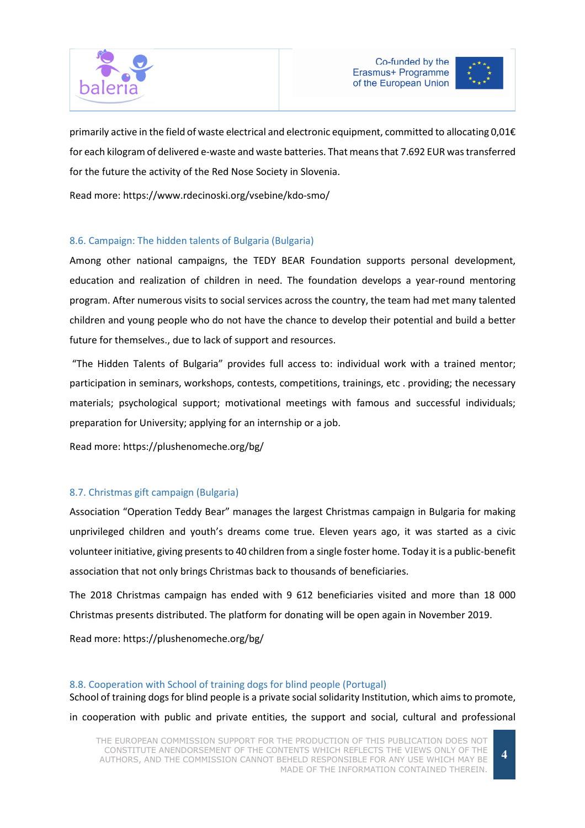



primarily active in the field of waste electrical and electronic equipment, committed to allocating 0,01€ for each kilogram of delivered e-waste and waste batteries. That means that 7.692 EUR was transferred for the future the activity of the Red Nose Society in Slovenia.

Read more: https://www.rdecinoski.org/vsebine/kdo-smo/

# 8.6. Campaign: The hidden talents of Bulgaria (Bulgaria)

Among other national campaigns, the TEDY BEAR Foundation supports personal development, education and realization of children in need. The foundation develops a year-round mentoring program. After numerous visits to social services across the country, the team had met many talented children and young people who do not have the chance to develop their potential and build a better future for themselves., due to lack of support and resources.

 "The Hidden Talents of Bulgaria" provides full access to: individual work with a trained mentor; participation in seminars, workshops, contests, competitions, trainings, etc . providing; the necessary materials; psychological support; motivational meetings with famous and successful individuals; preparation for University; applying for an internship or a job.

Read more: https://plushenomeche.org/bg/

# 8.7. Christmas gift campaign (Bulgaria)

Association "Operation Teddy Bear" manages the largest Christmas campaign in Bulgaria for making unprivileged children and youth's dreams come true. Eleven years ago, it was started as a civic volunteer initiative, giving presents to 40 children from a single foster home. Today it is a public-benefit association that not only brings Christmas back to thousands of beneficiaries.

The 2018 Christmas campaign has ended with 9 612 beneficiaries visited and more than 18 000 Christmas presents distributed. The platform for donating will be open again in November 2019.

Read more: https://plushenomeche.org/bg/

#### 8.8. Cooperation with School of training dogs for blind people (Portugal)

School of training dogs for blind people is a private social solidarity Institution, which aims to promote, in cooperation with public and private entities, the support and social, cultural and professional

THE EUROPEAN COMMISSION SUPPORT FOR THE PRODUCTION OF THIS PUBLICATION DOES NOT CONSTITUTE ANENDORSEMENT OF THE CONTENTS WHICH REFLECTS THE VIEWS ONLY OF THE AUTHORS, AND THE COMMISSION CANNOT BEHELD RESPONSIBLE FOR ANY USE WHICH MAY BE MADE OF THE INFORMATION CONTAINED THEREIN.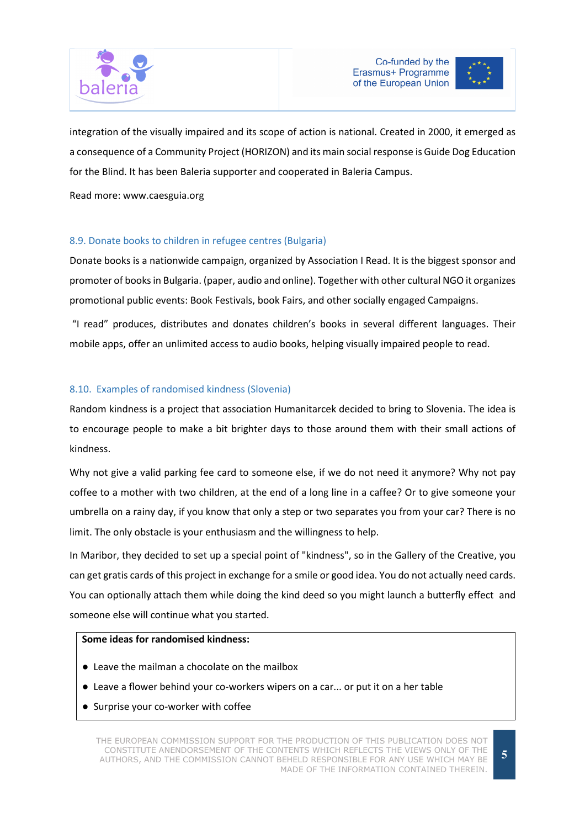



integration of the visually impaired and its scope of action is national. Created in 2000, it emerged as a consequence of a Community Project (HORIZON) and its main social response is Guide Dog Education for the Blind. It has been Baleria supporter and cooperated in Baleria Campus.

Read more: www.caesguia.org

# 8.9. Donate books to children in refugee centres (Bulgaria)

Donate books is a nationwide campaign, organized by Association I Read. It is the biggest sponsor and promoter of books in Bulgaria. (paper, audio and online). Together with other cultural NGO it organizes promotional public events: Book Festivals, book Fairs, and other socially engaged Campaigns.

 "I read" produces, distributes and donates children's books in several different languages. Their mobile apps, offer an unlimited access to audio books, helping visually impaired people to read.

# 8.10. Examples of randomised kindness (Slovenia)

Random kindness is a project that association Humanitarcek decided to bring to Slovenia. The idea is to encourage people to make a bit brighter days to those around them with their small actions of kindness.

Why not give a valid parking fee card to someone else, if we do not need it anymore? Why not pay coffee to a mother with two children, at the end of a long line in a caffee? Or to give someone your umbrella on a rainy day, if you know that only a step or two separates you from your car? There is no limit. The only obstacle is your enthusiasm and the willingness to help.

In Maribor, they decided to set up a special point of "kindness", so in the Gallery of the Creative, you can get gratis cards of this project in exchange for a smile or good idea. You do not actually need cards. You can optionally attach them while doing the kind deed so you might launch a butterfly effect and someone else will continue what you started.

#### Some ideas for randomised kindness:

- Leave the mailman a chocolate on the mailbox
- Leave a flower behind your co-workers wipers on a car... or put it on a her table
- Surprise your co-worker with coffee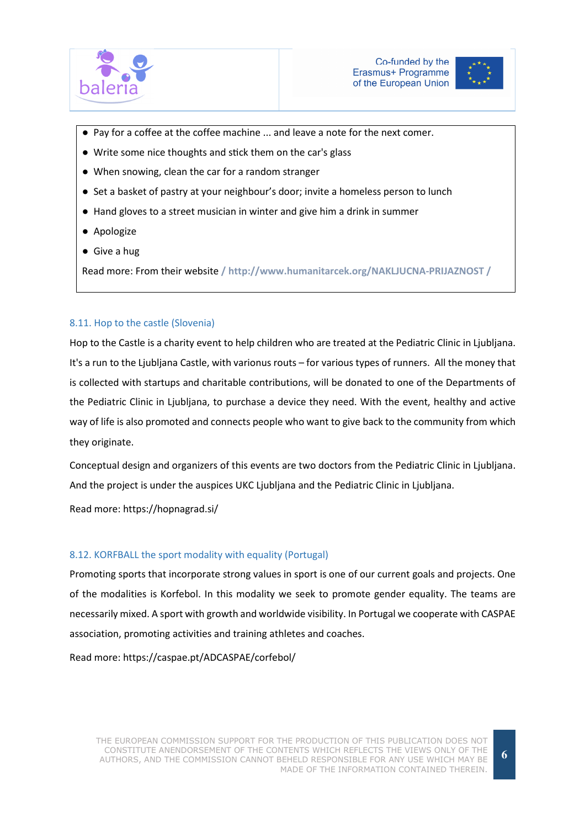



- Pay for a coffee at the coffee machine ... and leave a note for the next comer.
- Write some nice thoughts and stick them on the car's glass
- When snowing, clean the car for a random stranger
- Set a basket of pastry at your neighbour's door; invite a homeless person to lunch
- Hand gloves to a street musician in winter and give him a drink in summer
- Apologize
- Give a hug

Read more: From their website / http://www.humanitarcek.org/NAKLJUCNA-PRIJAZNOST /

#### 8.11. Hop to the castle (Slovenia)

Hop to the Castle is a charity event to help children who are treated at the Pediatric Clinic in Ljubljana. It's a run to the Ljubljana Castle, with varionus routs – for various types of runners. All the money that is collected with startups and charitable contributions, will be donated to one of the Departments of the Pediatric Clinic in Ljubljana, to purchase a device they need. With the event, healthy and active way of life is also promoted and connects people who want to give back to the community from which they originate.

Conceptual design and organizers of this events are two doctors from the Pediatric Clinic in Ljubljana. And the project is under the auspices UKC Ljubljana and the Pediatric Clinic in Ljubljana.

Read more: https://hopnagrad.si/

#### 8.12. KORFBALL the sport modality with equality (Portugal)

Promoting sports that incorporate strong values in sport is one of our current goals and projects. One of the modalities is Korfebol. In this modality we seek to promote gender equality. The teams are necessarily mixed. A sport with growth and worldwide visibility. In Portugal we cooperate with CASPAE association, promoting activities and training athletes and coaches.

Read more: https://caspae.pt/ADCASPAE/corfebol/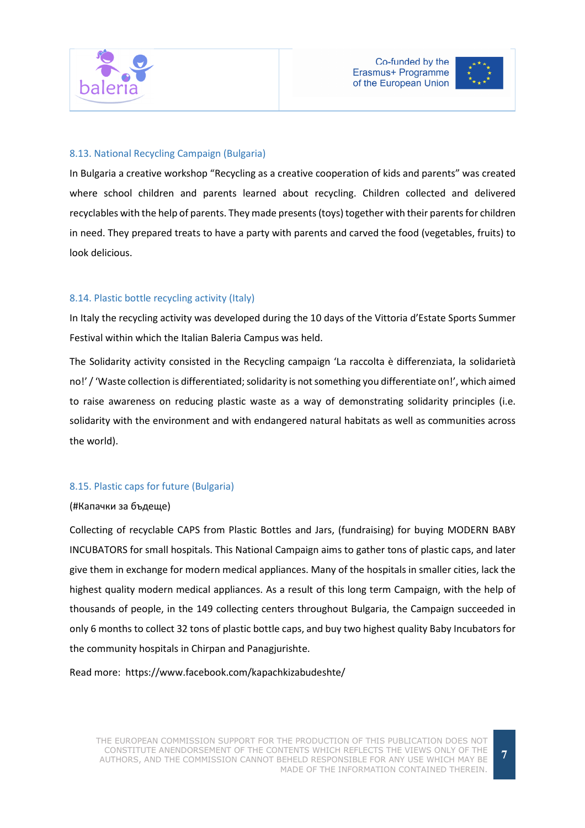



# 8.13. National Recycling Campaign (Bulgaria)

In Bulgaria a creative workshop "Recycling as a creative cooperation of kids and parents" was created where school children and parents learned about recycling. Children collected and delivered recyclables with the help of parents. They made presents (toys) together with their parents for children in need. They prepared treats to have a party with parents and carved the food (vegetables, fruits) to look delicious.

#### 8.14. Plastic bottle recycling activity (Italy)

In Italy the recycling activity was developed during the 10 days of the Vittoria d'Estate Sports Summer Festival within which the Italian Baleria Campus was held.

The Solidarity activity consisted in the Recycling campaign 'La raccolta è differenziata, la solidarietà no!' / 'Waste collection is differentiated; solidarity is not something you differentiate on!', which aimed to raise awareness on reducing plastic waste as a way of demonstrating solidarity principles (i.e. solidarity with the environment and with endangered natural habitats as well as communities across the world).

# 8.15. Plastic caps for future (Bulgaria)

#### (#Капачки за бъдеще)

Collecting of recyclable CAPS from Plastic Bottles and Jars, (fundraising) for buying MODERN BABY INCUBATORS for small hospitals. This National Campaign aims to gather tons of plastic caps, and later give them in exchange for modern medical appliances. Many of the hospitals in smaller cities, lack the highest quality modern medical appliances. As a result of this long term Campaign, with the help of thousands of people, in the 149 collecting centers throughout Bulgaria, the Campaign succeeded in only 6 months to collect 32 tons of plastic bottle caps, and buy two highest quality Baby Incubators for the community hospitals in Chirpan and Panagjurishte.

Read more: https://www.facebook.com/kapachkizabudeshte/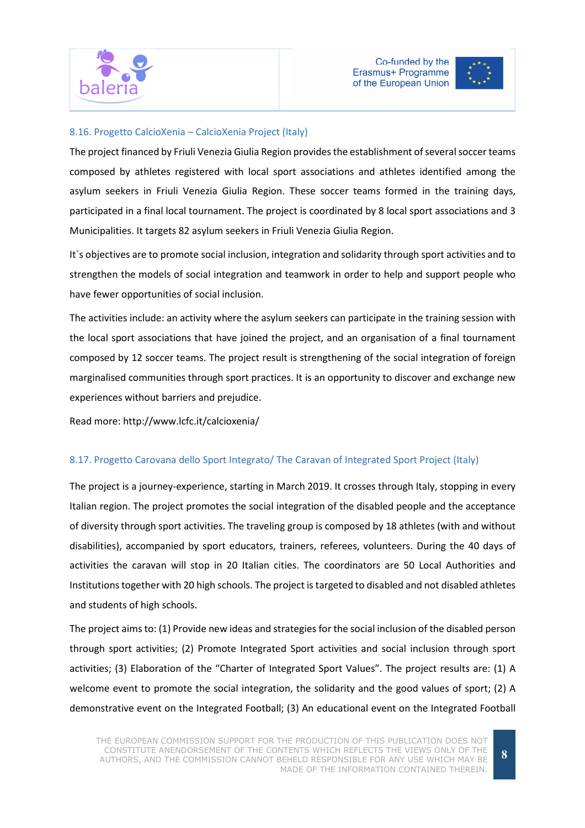



#### 8.16. Progetto CalcioXenia – CalcioXenia Project (Italy)

The project financed by Friuli Venezia Giulia Region provides the establishment of several soccer teams composed by athletes registered with local sport associations and athletes identified among the asylum seekers in Friuli Venezia Giulia Region. These soccer teams formed in the training days, participated in a final local tournament. The project is coordinated by 8 local sport associations and 3 Municipalities. It targets 82 asylum seekers in Friuli Venezia Giulia Region.

It`s objectives are to promote social inclusion, integration and solidarity through sport activities and to strengthen the models of social integration and teamwork in order to help and support people who have fewer opportunities of social inclusion.

The activities include: an activity where the asylum seekers can participate in the training session with the local sport associations that have joined the project, and an organisation of a final tournament composed by 12 soccer teams. The project result is strengthening of the social integration of foreign marginalised communities through sport practices. It is an opportunity to discover and exchange new experiences without barriers and prejudice.

Read more: http://www.lcfc.it/calcioxenia/

# 8.17. Progetto Carovana dello Sport Integrato/ The Caravan of Integrated Sport Project (Italy)

The project is a journey-experience, starting in March 2019. It crosses through Italy, stopping in every Italian region. The project promotes the social integration of the disabled people and the acceptance of diversity through sport activities. The traveling group is composed by 18 athletes (with and without disabilities), accompanied by sport educators, trainers, referees, volunteers. During the 40 days of activities the caravan will stop in 20 Italian cities. The coordinators are 50 Local Authorities and Institutions together with 20 high schools. The project is targeted to disabled and not disabled athletes and students of high schools.

The project aims to: (1) Provide new ideas and strategies for the social inclusion of the disabled person through sport activities; (2) Promote Integrated Sport activities and social inclusion through sport activities; (3) Elaboration of the "Charter of Integrated Sport Values". The project results are: (1) A welcome event to promote the social integration, the solidarity and the good values of sport; (2) A demonstrative event on the Integrated Football; (3) An educational event on the Integrated Football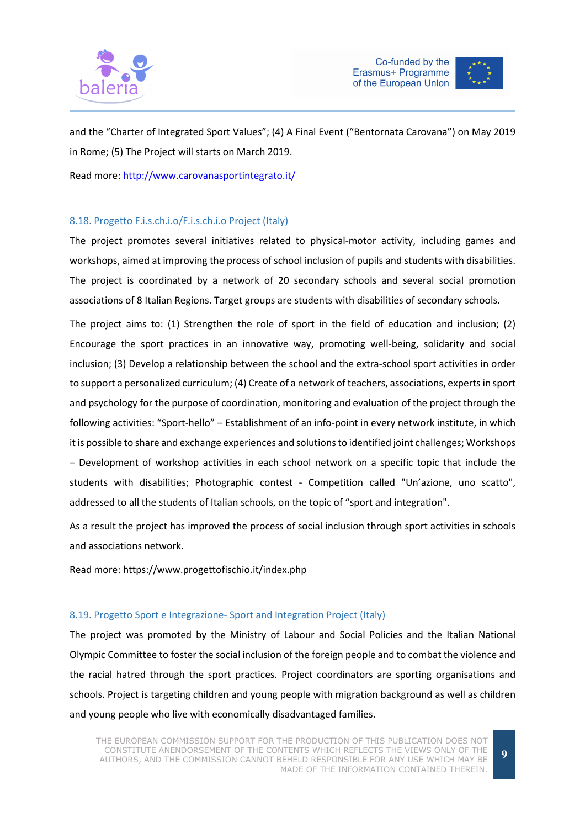



and the "Charter of Integrated Sport Values"; (4) A Final Event ("Bentornata Carovana") on May 2019 in Rome; (5) The Project will starts on March 2019.

Read more: http://www.carovanasportintegrato.it/

# 8.18. Progetto F.i.s.ch.i.o/F.i.s.ch.i.o Project (Italy)

The project promotes several initiatives related to physical-motor activity, including games and workshops, aimed at improving the process of school inclusion of pupils and students with disabilities. The project is coordinated by a network of 20 secondary schools and several social promotion associations of 8 Italian Regions. Target groups are students with disabilities of secondary schools.

The project aims to: (1) Strengthen the role of sport in the field of education and inclusion; (2) Encourage the sport practices in an innovative way, promoting well-being, solidarity and social inclusion; (3) Develop a relationship between the school and the extra-school sport activities in order to support a personalized curriculum; (4) Create of a network of teachers, associations, experts in sport and psychology for the purpose of coordination, monitoring and evaluation of the project through the following activities: "Sport-hello" – Establishment of an info-point in every network institute, in which it is possible to share and exchange experiences and solutions to identified joint challenges; Workshops – Development of workshop activities in each school network on a specific topic that include the students with disabilities; Photographic contest - Competition called "Un'azione, uno scatto", addressed to all the students of Italian schools, on the topic of "sport and integration".

As a result the project has improved the process of social inclusion through sport activities in schools and associations network.

Read more: https://www.progettofischio.it/index.php

# 8.19. Progetto Sport e Integrazione- Sport and Integration Project (Italy)

The project was promoted by the Ministry of Labour and Social Policies and the Italian National Olympic Committee to foster the social inclusion of the foreign people and to combat the violence and the racial hatred through the sport practices. Project coordinators are sporting organisations and schools. Project is targeting children and young people with migration background as well as children and young people who live with economically disadvantaged families.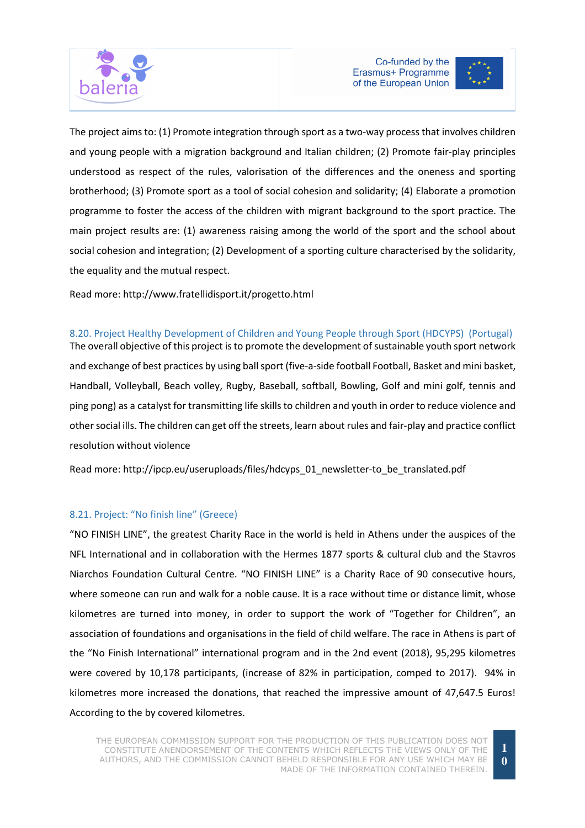



The project aims to: (1) Promote integration through sport as a two-way process that involves children and young people with a migration background and Italian children; (2) Promote fair-play principles understood as respect of the rules, valorisation of the differences and the oneness and sporting brotherhood; (3) Promote sport as a tool of social cohesion and solidarity; (4) Elaborate a promotion programme to foster the access of the children with migrant background to the sport practice. The main project results are: (1) awareness raising among the world of the sport and the school about social cohesion and integration; (2) Development of a sporting culture characterised by the solidarity, the equality and the mutual respect.

Read more: http://www.fratellidisport.it/progetto.html

# 8.20. Project Healthy Development of Children and Young People through Sport (HDCYPS) (Portugal)

The overall objective of this project is to promote the development of sustainable youth sport network and exchange of best practices by using ball sport (five-a-side football Football, Basket and mini basket, Handball, Volleyball, Beach volley, Rugby, Baseball, softball, Bowling, Golf and mini golf, tennis and ping pong) as a catalyst for transmitting life skills to children and youth in order to reduce violence and other social ills. The children can get off the streets, learn about rules and fair-play and practice conflict resolution without violence

Read more: http://ipcp.eu/useruploads/files/hdcyps\_01\_newsletter-to\_be\_translated.pdf

#### 8.21. Project: "No finish line" (Greece)

"NO FINISH LINE", the greatest Charity Race in the world is held in Athens under the auspices of the NFL International and in collaboration with the Hermes 1877 sports & cultural club and the Stavros Niarchos Foundation Cultural Centre. "NO FINISH LINE" is a Charity Race of 90 consecutive hours, where someone can run and walk for a noble cause. It is a race without time or distance limit, whose kilometres are turned into money, in order to support the work of "Together for Children", an association of foundations and organisations in the field of child welfare. The race in Athens is part of the "No Finish International" international program and in the 2nd event (2018), 95,295 kilometres were covered by 10,178 participants, (increase of 82% in participation, comped to 2017). 94% in kilometres more increased the donations, that reached the impressive amount of 47,647.5 Euros! According to the by covered kilometres.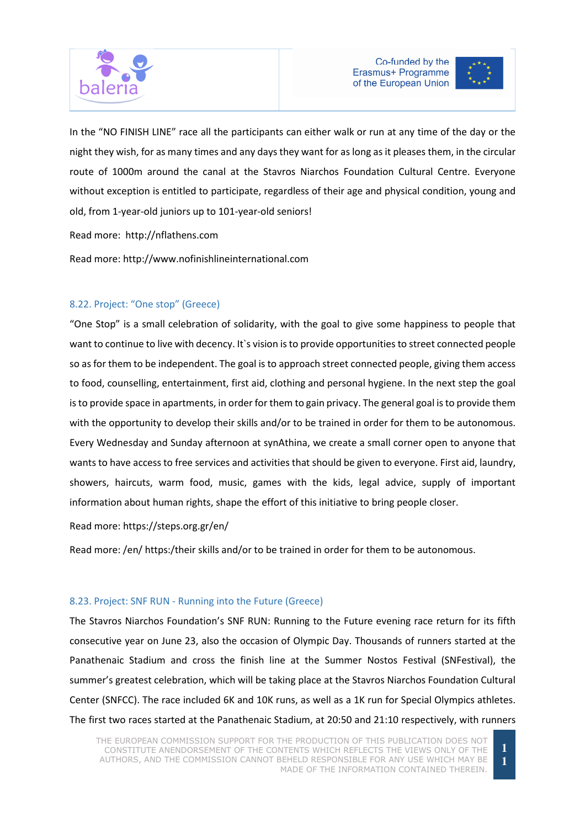



In the "NO FINISH LINE" race all the participants can either walk or run at any time of the day or the night they wish, for as many times and any days they want for as long as it pleases them, in the circular route of 1000m around the canal at the Stavros Niarchos Foundation Cultural Centre. Everyone without exception is entitled to participate, regardless of their age and physical condition, young and old, from 1-year-old juniors up to 101-year-old seniors!

Read more: http://nflathens.com

Read more: http://www.nofinishlineinternational.com

# 8.22. Project: "One stop" (Greece)

"One Stop" is a small celebration of solidarity, with the goal to give some happiness to people that want to continue to live with decency. It's vision is to provide opportunities to street connected people so as for them to be independent. The goal is to approach street connected people, giving them access to food, counselling, entertainment, first aid, clothing and personal hygiene. In the next step the goal is to provide space in apartments, in order for them to gain privacy. The general goal is to provide them with the opportunity to develop their skills and/or to be trained in order for them to be autonomous. Every Wednesday and Sunday afternoon at synAthina, we create a small corner open to anyone that wants to have access to free services and activities that should be given to everyone. First aid, laundry, showers, haircuts, warm food, music, games with the kids, legal advice, supply of important information about human rights, shape the effort of this initiative to bring people closer.

Read more: https://steps.org.gr/en/

Read more: /en/ https:/their skills and/or to be trained in order for them to be autonomous.

#### 8.23. Project: SNF RUN - Running into the Future (Greece)

The Stavros Niarchos Foundation's SNF RUN: Running to the Future evening race return for its fifth consecutive year on June 23, also the occasion of Olympic Day. Thousands of runners started at the Panathenaic Stadium and cross the finish line at the Summer Nostos Festival (SNFestival), the summer's greatest celebration, which will be taking place at the Stavros Niarchos Foundation Cultural Center (SNFCC). The race included 6K and 10K runs, as well as a 1K run for Special Olympics athletes. The first two races started at the Panathenaic Stadium, at 20:50 and 21:10 respectively, with runners

**1 1**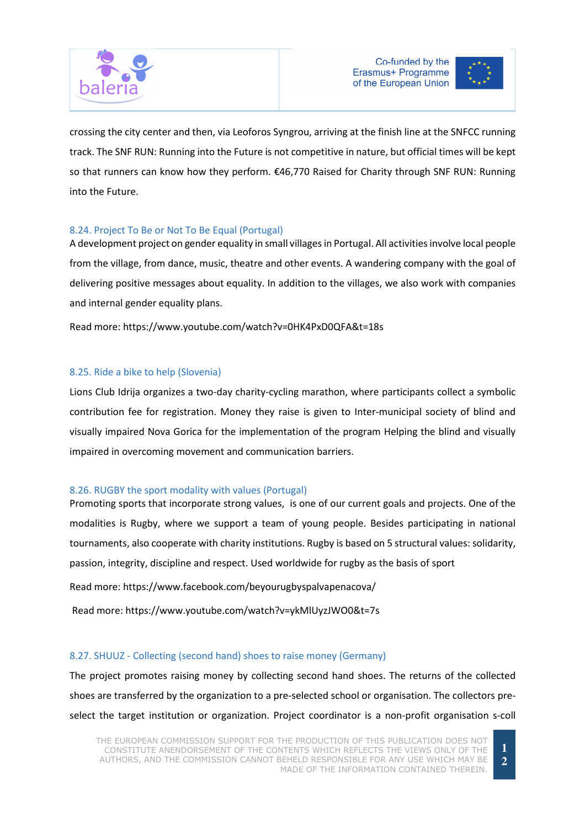



crossing the city center and then, via Leoforos Syngrou, arriving at the finish line at the SNFCC running track. The SNF RUN: Running into the Future is not competitive in nature, but official times will be kept so that runners can know how they perform. €46,770 Raised for Charity through SNF RUN: Running into the Future.

# 8.24. Project To Be or Not To Be Equal (Portugal)

A development project on gender equality in small villages in Portugal. All activities involve local people from the village, from dance, music, theatre and other events. A wandering company with the goal of delivering positive messages about equality. In addition to the villages, we also work with companies and internal gender equality plans.

Read more: https://www.youtube.com/watch?v=0HK4PxD0QFA&t=18s

# 8.25. Ride a bike to help (Slovenia)

Lions Club Idrija organizes a two-day charity-cycling marathon, where participants collect a symbolic contribution fee for registration. Money they raise is given to Inter-municipal society of blind and visually impaired Nova Gorica for the implementation of the program Helping the blind and visually impaired in overcoming movement and communication barriers.

#### 8.26. RUGBY the sport modality with values (Portugal)

Promoting sports that incorporate strong values, is one of our current goals and projects. One of the modalities is Rugby, where we support a team of young people. Besides participating in national tournaments, also cooperate with charity institutions. Rugby is based on 5 structural values: solidarity, passion, integrity, discipline and respect. Used worldwide for rugby as the basis of sport

Read more: https://www.facebook.com/beyourugbyspalvapenacova/

Read more: https://www.youtube.com/watch?v=ykMlUyzJWO0&t=7s

# 8.27. SHUUZ - Collecting (second hand) shoes to raise money (Germany)

The project promotes raising money by collecting second hand shoes. The returns of the collected shoes are transferred by the organization to a pre-selected school or organisation. The collectors preselect the target institution or organization. Project coordinator is a non-profit organisation s-coll

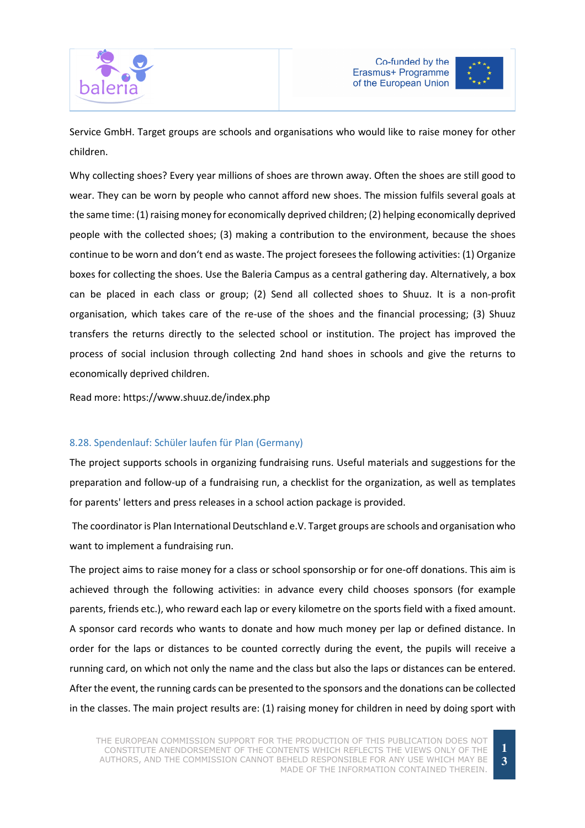



Service GmbH. Target groups are schools and organisations who would like to raise money for other children.

Why collecting shoes? Every year millions of shoes are thrown away. Often the shoes are still good to wear. They can be worn by people who cannot afford new shoes. The mission fulfils several goals at the same time: (1) raising money for economically deprived children; (2) helping economically deprived people with the collected shoes; (3) making a contribution to the environment, because the shoes continue to be worn and don't end as waste. The project foresees the following activities: (1) Organize boxes for collecting the shoes. Use the Baleria Campus as a central gathering day. Alternatively, a box can be placed in each class or group; (2) Send all collected shoes to Shuuz. It is a non-profit organisation, which takes care of the re-use of the shoes and the financial processing; (3) Shuuz transfers the returns directly to the selected school or institution. The project has improved the process of social inclusion through collecting 2nd hand shoes in schools and give the returns to economically deprived children.

Read more: https://www.shuuz.de/index.php

# 8.28. Spendenlauf: Schüler laufen für Plan (Germany)

The project supports schools in organizing fundraising runs. Useful materials and suggestions for the preparation and follow-up of a fundraising run, a checklist for the organization, as well as templates for parents' letters and press releases in a school action package is provided.

 The coordinator is Plan International Deutschland e.V. Target groups are schools and organisation who want to implement a fundraising run.

The project aims to raise money for a class or school sponsorship or for one-off donations. This aim is achieved through the following activities: in advance every child chooses sponsors (for example parents, friends etc.), who reward each lap or every kilometre on the sports field with a fixed amount. A sponsor card records who wants to donate and how much money per lap or defined distance. In order for the laps or distances to be counted correctly during the event, the pupils will receive a running card, on which not only the name and the class but also the laps or distances can be entered. After the event, the running cards can be presented to the sponsors and the donations can be collected in the classes. The main project results are: (1) raising money for children in need by doing sport with

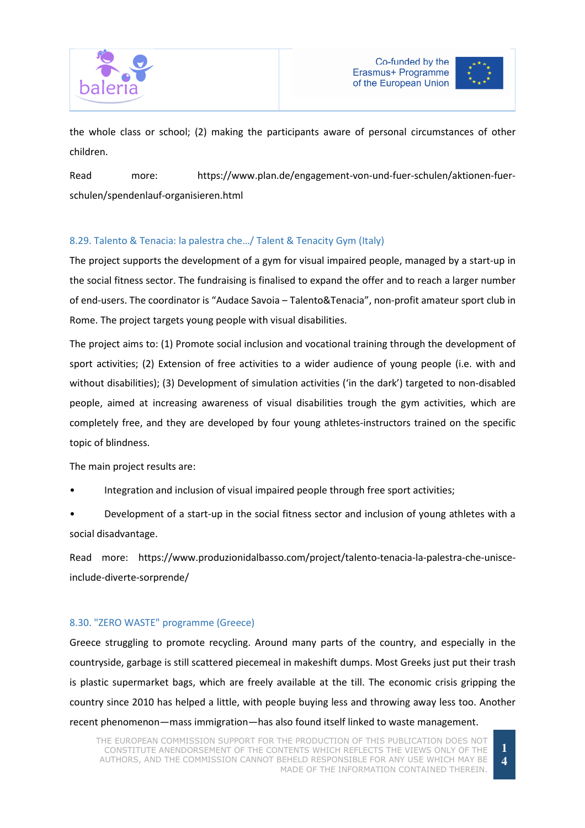



the whole class or school; (2) making the participants aware of personal circumstances of other children.

Read more: https://www.plan.de/engagement-von-und-fuer-schulen/aktionen-fuerschulen/spendenlauf-organisieren.html

# 8.29. Talento & Tenacia: la palestra che…/ Talent & Tenacity Gym (Italy)

The project supports the development of a gym for visual impaired people, managed by a start-up in the social fitness sector. The fundraising is finalised to expand the offer and to reach a larger number of end-users. The coordinator is "Audace Savoia – Talento&Tenacia", non-profit amateur sport club in Rome. The project targets young people with visual disabilities.

The project aims to: (1) Promote social inclusion and vocational training through the development of sport activities; (2) Extension of free activities to a wider audience of young people (i.e. with and without disabilities); (3) Development of simulation activities ('in the dark') targeted to non-disabled people, aimed at increasing awareness of visual disabilities trough the gym activities, which are completely free, and they are developed by four young athletes-instructors trained on the specific topic of blindness.

The main project results are:

• Integration and inclusion of visual impaired people through free sport activities;

• Development of a start-up in the social fitness sector and inclusion of young athletes with a social disadvantage.

Read more: https://www.produzionidalbasso.com/project/talento-tenacia-la-palestra-che-unisceinclude-diverte-sorprende/

#### 8.30. "ZERO WASTE" programme (Greece)

Greece struggling to promote recycling. Around many parts of the country, and especially in the countryside, garbage is still scattered piecemeal in makeshift dumps. Most Greeks just put their trash is plastic supermarket bags, which are freely available at the till. The economic crisis gripping the country since 2010 has helped a little, with people buying less and throwing away less too. Another recent phenomenon—mass immigration—has also found itself linked to waste management.

**1 4**